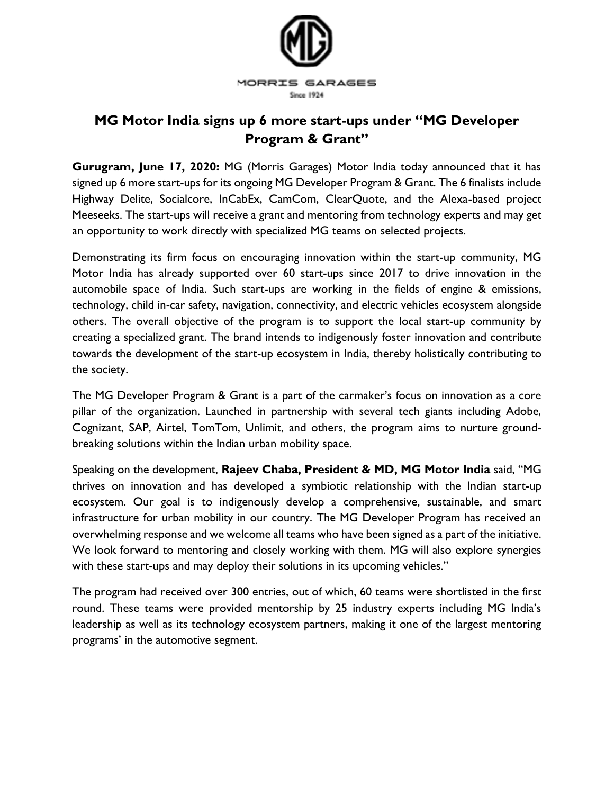

## **MG Motor India signs up 6 more start-ups under "MG Developer Program & Grant"**

**Gurugram, June 17, 2020:** MG (Morris Garages) Motor India today announced that it has signed up 6 more start-ups for its ongoing MG Developer Program & Grant. The 6 finalists include Highway Delite, Socialcore, InCabEx, CamCom, ClearQuote, and the Alexa-based project Meeseeks. The start-ups will receive a grant and mentoring from technology experts and may get an opportunity to work directly with specialized MG teams on selected projects.

Demonstrating its firm focus on encouraging innovation within the start-up community, MG Motor India has already supported over 60 start-ups since 2017 to drive innovation in the automobile space of India. Such start-ups are working in the fields of engine & emissions, technology, child in-car safety, navigation, connectivity, and electric vehicles ecosystem alongside others. The overall objective of the program is to support the local start-up community by creating a specialized grant. The brand intends to indigenously foster innovation and contribute towards the development of the start-up ecosystem in India, thereby holistically contributing to the society.

The MG Developer Program & Grant is a part of the carmaker's focus on innovation as a core pillar of the organization. Launched in partnership with several tech giants including Adobe, Cognizant, SAP, Airtel, TomTom, Unlimit, and others, the program aims to nurture groundbreaking solutions within the Indian urban mobility space.

Speaking on the development, **Rajeev Chaba, President & MD, MG Motor India** said, "MG thrives on innovation and has developed a symbiotic relationship with the Indian start-up ecosystem. Our goal is to indigenously develop a comprehensive, sustainable, and smart infrastructure for urban mobility in our country. The MG Developer Program has received an overwhelming response and we welcome all teams who have been signed as a part of the initiative. We look forward to mentoring and closely working with them. MG will also explore synergies with these start-ups and may deploy their solutions in its upcoming vehicles."

The program had received over 300 entries, out of which, 60 teams were shortlisted in the first round. These teams were provided mentorship by 25 industry experts including MG India's leadership as well as its technology ecosystem partners, making it one of the largest mentoring programs' in the automotive segment.